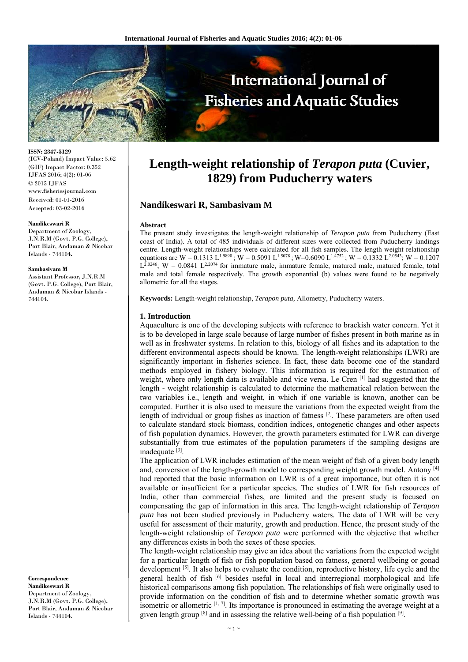

**ISSN: 2347-5129**  (ICV-Poland) Impact Value: 5.62 (GIF) Impact Factor: 0.352 IJFAS 2016; 4(2): 01-06 © 2015 IJFAS www.fisheriesjournal.com Received: 01-01-2016 Accepted: 03-02-2016

#### **Nandikeswari R**

Department of Zoology, J.N.R.M (Govt. P.G. College), Port Blair, Andaman & Nicobar Islands - 744104**.**

#### **Sambasivam M**

Assistant Professor**,** J.N.R.M (Govt. P.G. College), Port Blair, Andaman & Nicobar Islands - 744104.

**Correspondence Nandikeswari R**  Department of Zoology, J.N.R.M (Govt. P.G. College), Port Blair, Andaman & Nicobar Islands - 744104.

# **Length-weight relationship of** *Terapon puta* **(Cuvier, 1829) from Puducherry waters**

### **Nandikeswari R, Sambasivam M**

#### **Abstract**

The present study investigates the length-weight relationship of *Terapon puta* from Puducherry (East coast of India). A total of 485 individuals of different sizes were collected from Puducherry landings centre. Length-weight relationships were calculated for all fish samples. The length weight relationship equations are W = 0.1313 L<sup>1.9890</sup>; W = 0.5091 L<sup>1.5078</sup>; W=0.6090 L<sup>1.4752</sup>; W = 0.1332 L<sup>2.0543</sup>; W = 0.1207  $L^{2.0246}$ ; W = 0.0841 L<sup>2.2074</sup> for immature male, immature female, matured male, matured female, total male and total female respectively. The growth exponential (b) values were found to be negatively allometric for all the stages.

**Keywords:** Length-weight relationship, *Terapon puta,* Allometry, Puducherry waters.

#### **1. Introduction**

Aquaculture is one of the developing subjects with reference to brackish water concern. Yet it is to be developed in large scale because of large number of fishes present in both marine as in well as in freshwater systems. In relation to this, biology of all fishes and its adaptation to the different environmental aspects should be known. The length-weight relationships (LWR) are significantly important in fisheries science. In fact, these data become one of the standard methods employed in fishery biology. This information is required for the estimation of weight, where only length data is available and vice versa. Le Cren [1] had suggested that the length - weight relationship is calculated to determine the mathematical relation between the two variables i.e., length and weight, in which if one variable is known, another can be computed. Further it is also used to measure the variations from the expected weight from the length of individual or group fishes as inaction of fatness  $[2]$ . These parameters are often used to calculate standard stock biomass, condition indices, ontogenetic changes and other aspects of fish population dynamics. However, the growth parameters estimated for LWR can diverge substantially from true estimates of the population parameters if the sampling designs are inadequate [3].

The application of LWR includes estimation of the mean weight of fish of a given body length and, conversion of the length-growth model to corresponding weight growth model. Antony [4] had reported that the basic information on LWR is of a great importance, but often it is not available or insufficient for a particular species. The studies of LWR for fish resources of India, other than commercial fishes, are limited and the present study is focused on compensating the gap of information in this area. The length-weight relationship of *Terapon puta* has not been studied previously in Puducherry waters. The data of LWR will be very useful for assessment of their maturity, growth and production. Hence, the present study of the length-weight relationship of *Terapon puta* were performed with the objective that whether any differences exists in both the sexes of these species.

The length-weight relationship may give an idea about the variations from the expected weight for a particular length of fish or fish population based on fatness, general wellbeing or gonad development <sup>[5]</sup>. It also helps to evaluate the condition, reproductive history, life cycle and the general health of fish  $[6]$  besides useful in local and interregional morphological and life historical comparisons among fish population. The relationships of fish were originally used to provide information on the condition of fish and to determine whether somatic growth was isometric or allometric  $[1, 7]$ . Its importance is pronounced in estimating the average weight at a given length group  $[8]$  and in assessing the relative well-being of a fish population  $[9]$ .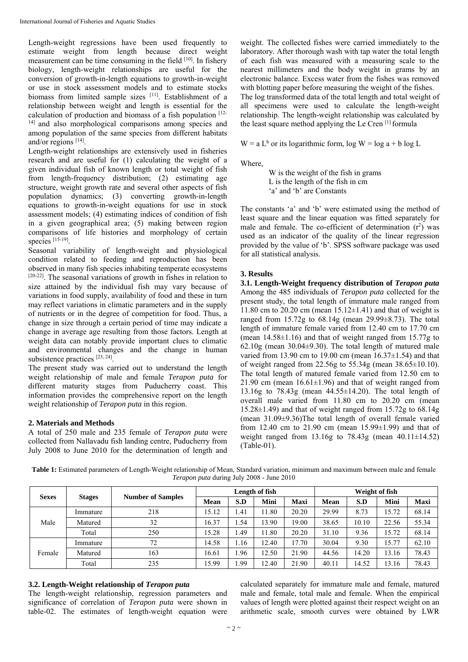Length-weight regressions have been used frequently to estimate weight from length because direct weight measurement can be time consuming in the field [10]. In fishery biology, length-weight relationships are useful for the conversion of growth-in-length equations to growth-in-weight or use in stock assessment models and to estimate stocks biomass from limited sample sizes [11]. Establishment of a relationship between weight and length is essential for the calculation of production and biomass of a fish population  $[12-$ 14] and also morphological comparisons among species and among population of the same species from different habitats and/or regions [14].

Length-weight relationships are extensively used in fisheries research and are useful for (1) calculating the weight of a given individual fish of known length or total weight of fish from length-frequency distribution; (2) estimating age structure, weight growth rate and several other aspects of fish population dynamics; (3) converting growth-in-length equations to growth-in-weight equations for use in stock assessment models; (4) estimating indices of condition of fish in a given geographical area; (5) making between region comparisons of life histories and morphology of certain species [15-19].

Seasonal variability of length-weight and physiological condition related to feeding and reproduction has been observed in many fish species inhabiting temperate ecosystems [20-22]. The seasonal variations of growth in fishes in relation to size attained by the individual fish may vary because of variations in food supply, availability of food and these in turn may reflect variations in climatic parameters and in the supply of nutrients or in the degree of competition for food. Thus, a change in size through a certain period of time may indicate a change in average age resulting from those factors. Length at weight data can notably provide important clues to climatic and environmental changes and the change in human subsistence practices [23, 24].

The present study was carried out to understand the length weight relationship of male and female *Terapon puta* for different maturity stages from Puducherry coast. This information provides the comprehensive report on the length weight relationship of *Terapon puta* in this region.

## **2. Materials and Methods**

A total of 250 male and 235 female of *Terapon puta* were collected from Nallavadu fish landing centre, Puducherry from July 2008 to June 2010 for the determination of length and weight. The collected fishes were carried immediately to the laboratory. After thorough wash with tap water the total length of each fish was measured with a measuring scale to the nearest millimeters and the body weight in grams by an electronic balance. Excess water from the fishes was removed with blotting paper before measuring the weight of the fishes. The log transformed data of the total length and total weight of all specimens were used to calculate the length-weight relationship. The length-weight relationship was calculated by the least square method applying the Le Cren [1] formula

 $W = a L<sup>b</sup>$  or its logarithmic form, log  $W = log a + b log L$ 

Where,

 W is the weight of the fish in grams L is the length of the fish in cm 'a' and 'b' are Constants

The constants 'a' and 'b' were estimated using the method of least square and the linear equation was fitted separately for male and female. The co-efficient of determination  $(r^2)$  was used as an indicator of the quality of the linear regression provided by the value of 'b'. SPSS software package was used for all statistical analysis.

## **3. Results**

**3.1. Length-Weight frequency distribution of** *Terapon puta* Among the 485 individuals of *Terapon puta* collected for the present study, the total length of immature male ranged from 11.80 cm to 20.20 cm (mean  $15.12\pm1.41$ ) and that of weight is ranged from 15.72g to 68.14g (mean 29.99±8.73). The total length of immature female varied from 12.40 cm to 17.70 cm (mean 14.58±1.16) and that of weight ranged from 15.77g to  $62.10$ g (mean  $30.04\pm9.30$ ). The total length of matured male varied from 13.90 cm to 19.00 cm (mean  $16.37\pm1.54$ ) and that of weight ranged from 22.56g to 55.34g (mean 38.65±10.10). The total length of matured female varied from 12.50 cm to 21.90 cm (mean  $16.61 \pm 1.96$ ) and that of weight ranged from 13.16g to 78.43g (mean 44.55±14.20). The total length of overall male varied from 11.80 cm to 20.20 cm (mean 15.28±1.49) and that of weight ranged from 15.72g to 68.14g (mean 31.09±9.36)The total length of overall female varied from 12.40 cm to 21.90 cm (mean 15.99±1.99) and that of weight ranged from  $13.16g$  to  $78.43g$  (mean  $40.11 \pm 14.52$ ) (Table-01).

| Table 1: Estimated parameters of Length-Weight relationship of Mean, Standard variation, minimum and maximum between male and female |  |
|--------------------------------------------------------------------------------------------------------------------------------------|--|
| <i>Terapon puta</i> during July 2008 - June 2010                                                                                     |  |

| <b>Sexes</b> | <b>Stages</b> | <b>Number of Samples</b> | Length of fish |        |       | Weight of fish |             |       |       |             |
|--------------|---------------|--------------------------|----------------|--------|-------|----------------|-------------|-------|-------|-------------|
|              |               |                          | <b>Mean</b>    | S.D    | Mini  | Maxi           | <b>Mean</b> | S.D   | Mini  | <b>Maxi</b> |
| Male         | Immature      | 218                      | 15.12          | 1.41   | 1.80  | 20.20          | 29.99       | 8.73  | 15.72 | 68.14       |
|              | Matured       | 32                       | 16.37          | . . 54 | 13.90 | 19.00          | 38.65       | 10.10 | 22.56 | 55.34       |
|              | Total         | 250                      | 15.28          | . 49   | 1.80  | 20.20          | 31.10       | 9.36  | 15.72 | 68.14       |
| Female       | Immature      | 72                       | 14.58          | 1.16   | 12.40 | 17.70          | 30.04       | 9.30  | 15.77 | 62.10       |
|              | Matured       | 163                      | 16.61          | 1.96   | 12.50 | 21.90          | 44.56       | 14.20 | 13.16 | 78.43       |
|              | Total         | 235                      | 15.99          | 1.99   | 12.40 | 21.90          | 40.11       | 14.52 | 13.16 | 78.43       |

## **3.2. Length-Weight relationship of** *Terapon puta*

The length-weight relationship, regression parameters and significance of correlation of *Terapon puta* were shown in table-02. The estimates of length-weight equation were

calculated separately for immature male and female, matured male and female, total male and female. When the empirical values of length were plotted against their respect weight on an arithmetic scale, smooth curves were obtained by LWR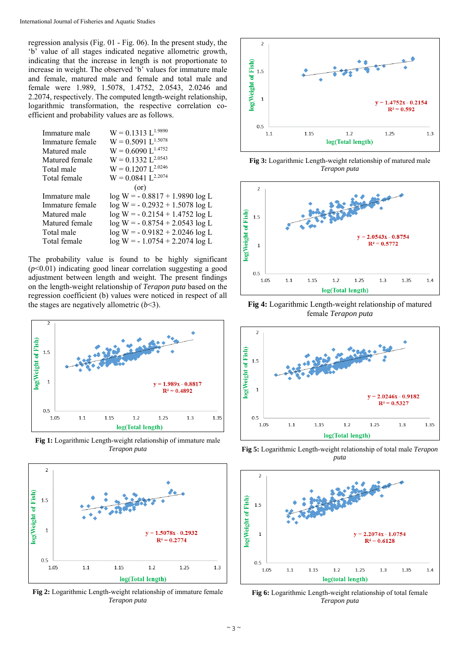regression analysis (Fig. 01 - Fig. 06). In the present study, the 'b' value of all stages indicated negative allometric growth, indicating that the increase in length is not proportionate to increase in weight. The observed 'b' values for immature male and female, matured male and female and total male and female were 1.989, 1.5078, 1.4752, 2.0543, 2.0246 and 2.2074, respectively. The computed length-weight relationship, logarithmic transformation, the respective correlation coefficient and probability values are as follows.

| $W = 0.1313 L^{1.9890}$          |
|----------------------------------|
| $W = 0.5091 L^{1.5078}$          |
| $W = 0.6090$ $I^{1.4752}$        |
| $W = 0.1332 L^{2.0543}$          |
| $W = 0.1207 L^{2.0246}$          |
| $W = 0.0841 L^{2.2074}$          |
| (or)                             |
| $log W = -0.8817 + 1.9890 log L$ |
| $log W = -0.2932 + 1.5078 log L$ |
| $log W = -0.2154 + 1.4752 log L$ |
| $log W = -0.8754 + 2.0543 log L$ |
| $log W = -0.9182 + 2.0246 log L$ |
| $log W = -1.0754 + 2.2074 log L$ |
|                                  |

The probability value is found to be highly significant (*p*<0.01) indicating good linear correlation suggesting a good adjustment between length and weight. The present findings on the length-weight relationship of *Terapon puta* based on the regression coefficient (b) values were noticed in respect of all the stages are negatively allometric  $(b<3)$ .



**Fig 1:** Logarithmic Length-weight relationship of immature male *Terapon puta* 



**Fig 2:** Logarithmic Length-weight relationship of immature female *Terapon puta*



**Fig 3:** Logarithmic Length-weight relationship of matured male *Terapon puta*



**Fig 4:** Logarithmic Length-weight relationship of matured female *Terapon puta* 



**Fig 5:** Logarithmic Length-weight relationship of total male *Terapon puta* 



**Fig 6:** Logarithmic Length-weight relationship of total female *Terapon puta*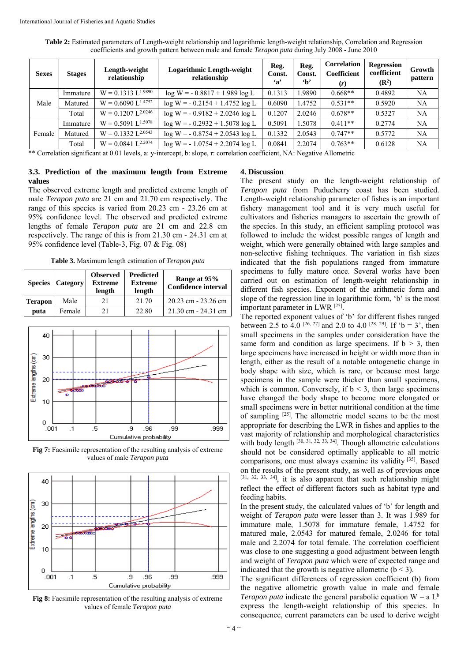**Table 2:** Estimated parameters of Length-weight relationship and logarithmic length-weight relationship, Correlation and Regression coefficients and growth pattern between male and female *Terapon puta* during July 2008 - June 2010

| <b>Sexes</b> | <b>Stages</b> | Length-weight<br>relationship | <b>Logarithmic Length-weight</b><br>relationship | Reg.<br>Const.<br>$\mathbf{a}$ | Reg.<br>Const.<br>$\mathbf{h}$ | Correlation<br>Coefficient<br>(r) | <b>Regression</b><br>coefficient<br>$(\mathbb{R}^2)$ | Growth<br>pattern |
|--------------|---------------|-------------------------------|--------------------------------------------------|--------------------------------|--------------------------------|-----------------------------------|------------------------------------------------------|-------------------|
|              | Immature      | $W = 0.1313 L^{1.9890}$       | $log W = -0.8817 + 1.989 log L$                  | 0.1313                         | 1.9890                         | $0.668**$                         | 0.4892                                               | NA                |
| Male         | Matured       | $W = 0.6090 L^{1.4752}$       | $log W = -0.2154 + 1.4752 log L$                 | 0.6090                         | 1.4752                         | $0.531**$                         | 0.5920                                               | NA                |
|              | Total         | $W = 0.1207 L^{2.0246}$       | $log W = -0.9182 + 2.0246 log L$                 | 0.1207                         | 2.0246                         | $0.678**$                         | 0.5327                                               | NA                |
|              | Immature      | $W = 0.5091 L^{1.5078}$       | $log W = -0.2932 + 1.5078 log L$                 | 0.5091                         | 1.5078                         | $0.411**$                         | 0.2774                                               | NA                |
| Female       | Matured       | $W = 0.1332 L^{2.0543}$       | $log W = -0.8754 + 2.0543 log L$                 | 0.1332                         | 2.0543                         | $0.747**$                         | 0.5772                                               | NA                |
|              | Total         | $W = 0.0841 L^{2.2074}$       | $log W = -1.0754 + 2.2074 log L$                 | 0.0841                         | 2.2074                         | $0.763**$                         | 0.6128                                               | NA                |

\*\* Correlation significant at 0.01 levels, a: y-intercept, b: slope, r: correlation coefficient, NA: Negative Allometric

## **3.3. Prediction of the maximum length from Extreme values**

The observed extreme length and predicted extreme length of male *Terapon puta* are 21 cm and 21.70 cm respectively. The range of this species is varied from 20.23 cm - 23.26 cm at 95% confidence level. The observed and predicted extreme lengths of female *Terapon puta* are 21 cm and 22.8 cm respectively. The range of this is from 21.30 cm - 24.31 cm at 95% confidence level (Table-3, Fig. 07 & Fig. 08)

**Table 3.** Maximum length estimation of *Terapon puta* 

|                | <b>Species Category</b> | <b>Observed</b><br><b>Extreme</b><br>length | <b>Predicted</b><br><b>Extreme</b><br>length | Range at 95%<br><b>Confidence interval</b> |
|----------------|-------------------------|---------------------------------------------|----------------------------------------------|--------------------------------------------|
| <b>Terapon</b> | Male                    | 21                                          | 21.70                                        | 20.23 cm - 23.26 cm                        |
| puta           | Female                  | 21                                          | 22.80                                        | $21.30 \text{ cm} - 24.31 \text{ cm}$      |



**Fig 7:** Facsimile representation of the resulting analysis of extreme values of male *Terapon puta* 



**Fig 8:** Facsimile representation of the resulting analysis of extreme values of female *Terapon puta*

#### **4. Discussion**

The present study on the length-weight relationship of *Terapon puta* from Puducherry coast has been studied. Length-weight relationship parameter of fishes is an important fishery management tool and it is very much useful for cultivators and fisheries managers to ascertain the growth of the species. In this study, an efficient sampling protocol was followed to include the widest possible ranges of length and weight, which were generally obtained with large samples and non-selective fishing techniques. The variation in fish sizes indicated that the fish populations ranged from immature specimens to fully mature once. Several works have been carried out on estimation of length-weight relationship in different fish species. Exponent of the arithmetic form and slope of the regression line in logarithmic form, 'b' is the most important parameter in LWR [25].

The reported exponent values of 'b' for different fishes ranged between 2.5 to 4.0 <sup>[26, 27]</sup> and 2.0 to 4.0 <sup>[28, 29]</sup>. If 'b = 3', then small specimens in the samples under consideration have the same form and condition as large specimens. If  $b > 3$ , then large specimens have increased in height or width more than in length, either as the result of a notable ontogenetic change in body shape with size, which is rare, or because most large specimens in the sample were thicker than small specimens, which is common. Conversely, if  $b < 3$ , then large specimens have changed the body shape to become more elongated or small specimens were in better nutritional condition at the time of sampling [25]. The allometric model seems to be the most appropriate for describing the LWR in fishes and applies to the vast majority of relationship and morphological characteristics with body length  $[30, 31, 32, 33, 34]$ . Though allometric calculations should not be considered optimally applicable to all metric comparisons, one must always examine its validity [35]. Based on the results of the present study, as well as of previous onc**e**  $[31, 32, 33, 34]$ , it is also apparent that such relationship might reflect the effect of different factors such as habitat type and feeding habits.

In the present study, the calculated values of 'b' for length and weight of *Terapon puta* were lesser than 3. It was 1.989 for immature male, 1.5078 for immature female, 1.4752 for matured male, 2.0543 for matured female, 2.0246 for total male and 2.2074 for total female. The correlation coefficient was close to one suggesting a good adjustment between length and weight of *Terapon puta* which were of expected range and indicated that the growth is negative allometric  $(b < 3)$ .

The significant differences of regression coefficient (b) from the negative allometric growth value in male and female *Terapon puta* indicate the general parabolic equation  $W = a L^b$ express the length-weight relationship of this species. In consequence, current parameters can be used to derive weight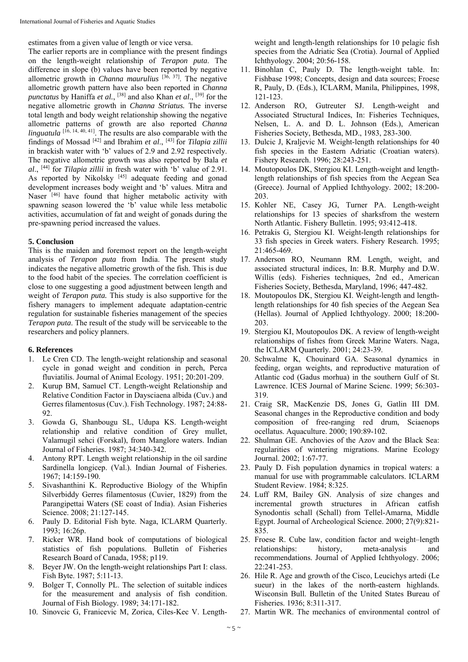estimates from a given value of length or vice versa.

The earlier reports are in compliance with the present findings on the length-weight relationship of *Terapon puta*. The difference in slope (b) values have been reported by negative allometric growth in *Channa maurulius* [36, 37]. The negative allometric growth pattern have also been reported in *Channa punctatus* by Haniffa *et al.*, [38] and also Khan *et al*., [39] for the negative allometric growth in *Channa Striatus.* The inverse total length and body weight relationship showing the negative allometric patterns of growth are also reported *Channa linguatula*  $[16, 14, 40, 41]$ . The results are also comparable with the findings of Mossad [42] and Ibrahim *et al*., [43] for *Tilapia zillii* in brackish water with 'b' values of 2.9 and 2.92 respectively. The negative allometric growth was also reported by Bala *et al*., [44] for *Tilapia zillii* in fresh water with 'b' value of 2.91. As reported by Nikolsky  $[45]$  adequate feeding and gonad development increases body weight and 'b' values. Mitra and Naser [46] have found that higher metabolic activity with spawning season lowered the 'b' value while less metabolic activities, accumulation of fat and weight of gonads during the pre-spawning period increased the values.

#### **5. Conclusion**

This is the maiden and foremost report on the length-weight analysis of *Terapon puta* from India. The present study indicates the negative allometric growth of the fish. This is due to the food habit of the species. The correlation coefficient is close to one suggesting a good adjustment between length and weight of *Terapon puta.* This study is also supportive for the fishery managers to implement adequate adaptation-centric regulation for sustainable fisheries management of the species *Terapon puta*. The result of the study will be serviceable to the researchers and policy planners.

#### **6. References**

- 1. Le Cren CD. The length-weight relationship and seasonal cycle in gonad weight and condition in perch, Perca fluviatilis. Journal of Animal Ecology. 1951; 20:201-209.
- 2. Kurup BM, Samuel CT. Length-weight Relationship and Relative Condition Factor in Daysciaena albida (Cuv.) and Gerres filamentosus (Cuv.). Fish Technology. 1987; 24:88-  $92$
- 3. Gowda G, Shanbougu SL, Udupa KS. Length-weight relationship and relative condition of Grey mullet, Valamugil sehci (Forskal), from Manglore waters. Indian Journal of Fisheries. 1987; 34:340-342.
- 4. Antony RPT. Length weight relationship in the oil sardine Sardinella longicep. (Val.). Indian Journal of Fisheries. 1967; 14:159-190.
- 5. Sivashanthini K. Reproductive Biology of the Whipfin Silverbiddy Gerres filamentosus (Cuvier, 1829) from the Parangipettai Waters (SE coast of India). Asian Fisheries Science. 2008; 21:127-145.
- 6. Pauly D. Editorial Fish byte. Naga, ICLARM Quarterly. 1993; 16:26p.
- 7. Ricker WR. Hand book of computations of biological statistics of fish populations. Bulletin of Fisheries Research Board of Canada, 1958; p119.
- 8. Beyer JW. On the length-weight relationships Part І: class. Fish Byte. 1987; 5:11-13.
- 9. Bolger T, Connolly PL. The selection of suitable indices for the measurement and analysis of fish condition. Journal of Fish Biology. 1989; 34:171-182.
- 10. Sinovcic G, Franicevic M, Zorica, Ciles-Kec V. Length-

weight and length-length relationships for 10 pelagic fish species from the Adriatic Sea (Crotia). Journal of Applied Ichthyology. 2004; 20:56-158.

- 11. Binohlan C, Pauly D. The length-weight table. In: Fishbase 1998; Concepts, design and data sources; Froese R, Pauly, D. (Eds.), ICLARM, Manila, Philippines, 1998, 121-123.
- 12. Anderson RO, Gutreuter SJ. Length-weight and Associated Structural Indices, In: Fisheries Techniques, Nelsen, L. A. and D. L. Johnson (Eds.), American Fisheries Society, Bethesda, MD., 1983, 283-300.
- 13. Dulcic J, Kraljevic M. Weight-length relationships for 40 fish species in the Eastern Adriatic (Croatian waters). Fishery Research. 1996; 28:243-251.
- 14. Moutopoulos DK, Stergiou KI. Length-weight and lengthlength relationships of fish species from the Aegean Sea (Greece). Journal of Applied Ichthyology. 2002; 18:200- 203.
- 15. Kohler NE, Casey JG, Turner PA. Length-weight relationships for 13 species of sharksfrom the western North Atlantic. Fishery Bulletin. 1995; 93:412-418.
- 16. Petrakis G, Stergiou KI. Weight-length relationships for 33 fish species in Greek waters. Fishery Research. 1995; 21:465-469.
- 17. Anderson RO, Neumann RM. Length, weight, and associated structural indices, In: B.R. Murphy and D.W. Willis (eds). Fisheries techniques, 2nd ed., American Fisheries Society, Bethesda, Maryland, 1996; 447-482.
- 18. Moutopoulos DK, Stergiou KI. Weight-length and lengthlength relationships for 40 fish species of the Aegean Sea (Hellas). Journal of Applied Ichthyology. 2000; 18:200- 203.
- 19. Stergiou KI, Moutopoulos DK. A review of length-weight relationships of fishes from Greek Marine Waters. Naga, the ICLARM Quarterly. 2001; 24:23-39.
- 20. Schwalme K, Chouinard GA. Seasonal dynamics in feeding, organ weights, and reproductive maturation of Atlantic cod (Gadus morhua) in the southern Gulf of St. Lawrence. ICES Journal of Marine Scienc. 1999; 56:303- 319.
- 21. Craig SR, MacKenzie DS, Jones G, Gatlin III DM. Seasonal changes in the Reproductive condition and body composition of free-ranging red drum, Sciaenops ocellatus. Aquaculture. 2000; 190:89-102.
- 22. Shulman GE. Anchovies of the Azov and the Black Sea: regularities of wintering migrations. Marine Ecology Journal. 2002; 1:67-77.
- 23. Pauly D. Fish population dynamics in tropical waters: a manual for use with programmable calculators. ICLARM Student Review. 1984; 8:325.
- 24. Luff RM, Bailey GN. Analysis of size changes and incremental growth structures in African catfish Synodontis schall (Schall) from Tellel-Amarna, Middle Egypt. Journal of Archeological Science. 2000; 27(9):821- 835.
- 25. Froese R. Cube law, condition factor and weight–length relationships: history, meta-analysis and recommendations. Journal of Applied Ichthyology. 2006; 22:241-253.
- 26. Hile R. Age and growth of the Cisco, Leucichys artedi (Le sueur) in the lakes of the north-eastern highlands. Wisconsin Bull. Bulletin of the United States Bureau of Fisheries. 1936; 8:311-317.
- 27. Martin WR. The mechanics of environmental control of